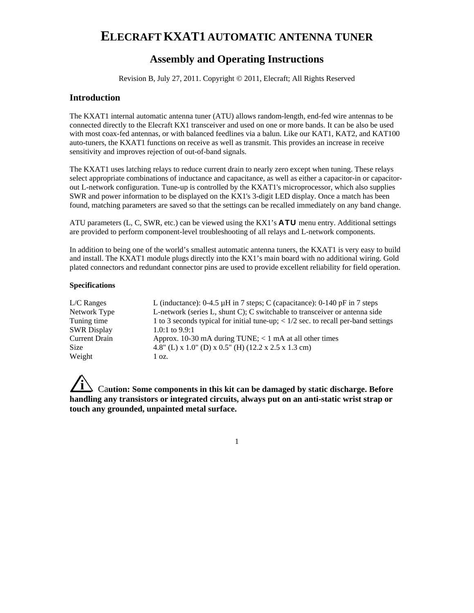# **ELECRAFT KXAT1 AUTOMATIC ANTENNA TUNER**

## **Assembly and Operating Instructions**

Revision B, July 27, 2011. Copyright © 2011, Elecraft; All Rights Reserved

## **Introduction**

The KXAT1 internal automatic antenna tuner (ATU) allows random-length, end-fed wire antennas to be connected directly to the Elecraft KX1 transceiver and used on one or more bands. It can be also be used with most coax-fed antennas, or with balanced feedlines via a balun. Like our KAT1, KAT2, and KAT100 auto-tuners, the KXAT1 functions on receive as well as transmit. This provides an increase in receive sensitivity and improves rejection of out-of-band signals.

The KXAT1 uses latching relays to reduce current drain to nearly zero except when tuning. These relays select appropriate combinations of inductance and capacitance, as well as either a capacitor-in or capacitorout L-network configuration. Tune-up is controlled by the KXAT1's microprocessor, which also supplies SWR and power information to be displayed on the KX1's 3-digit LED display. Once a match has been found, matching parameters are saved so that the settings can be recalled immediately on any band change.

ATU parameters (L, C, SWR, etc.) can be viewed using the KX1's **ATU** menu entry. Additional settings are provided to perform component-level troubleshooting of all relays and L-network components.

In addition to being one of the world's smallest automatic antenna tuners, the KXAT1 is very easy to build and install. The KXAT1 module plugs directly into the KX1's main board with no additional wiring. Gold plated connectors and redundant connector pins are used to provide excellent reliability for field operation.

#### **Specifications**

| $L/C$ Ranges         | L (inductance): $0-4.5 \mu H$ in 7 steps; C (capacitance): $0-140 \mu F$ in 7 steps                |
|----------------------|----------------------------------------------------------------------------------------------------|
| Network Type         | L-network (series L, shunt C); C switchable to transceiver or antenna side                         |
| Tuning time          | 1 to 3 seconds typical for initial tune-up; $\langle 1/2 \rangle$ sec. to recall per-band settings |
| <b>SWR Display</b>   | 1.0:1 to $9.9:1$                                                                                   |
| <b>Current Drain</b> | Approx. 10-30 mA during TUNE; $<$ 1 mA at all other times                                          |
| <b>Size</b>          | 4.8" (L) x 1.0" (D) x 0.5" (H) (12.2 x 2.5 x 1.3 cm)                                               |
| Weight               | 1 oz.                                                                                              |

**i** Ca**ution: Some components in this kit can be damaged by static discharge. Before handling any transistors or integrated circuits, always put on an anti-static wrist strap or touch any grounded, unpainted metal surface.**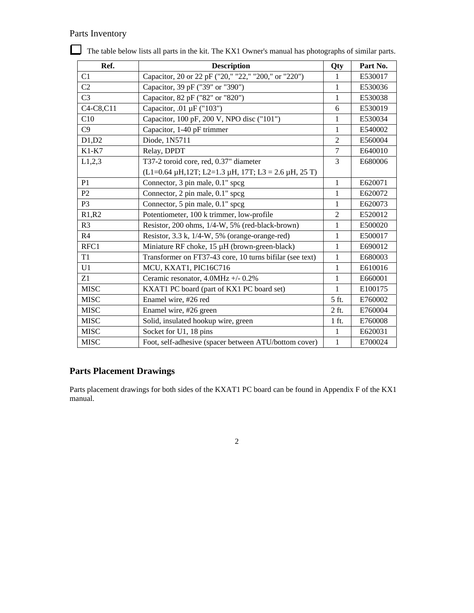## Parts Inventory

| Ref.           | <b>Description</b>                                              | Qty            | Part No. |
|----------------|-----------------------------------------------------------------|----------------|----------|
| C1             | Capacitor, 20 or 22 pF ("20," "22," "200," or "220")            |                | E530017  |
| C <sub>2</sub> | Capacitor, 39 pF ("39" or "390")                                |                | E530036  |
| C <sub>3</sub> | Capacitor, 82 pF ("82" or "820")                                | 1              | E530038  |
| C4-C8,C11      | Capacitor, .01 µF ("103")                                       | 6              | E530019  |
| C10            | Capacitor, 100 pF, 200 V, NPO disc ("101")                      | $\mathbf{1}$   | E530034  |
| C9             | Capacitor, 1-40 pF trimmer                                      | 1              | E540002  |
| D1,D2          | Diode, 1N5711                                                   | 2              | E560004  |
| $K1-K7$        | Relay, DPDT                                                     | $\tau$         | E640010  |
| L1,2,3         | T37-2 toroid core, red, 0.37" diameter                          | $\overline{3}$ | E680006  |
|                | $(L1=0.64 \mu H, 12T; L2=1.3 \mu H, 17T; L3 = 2.6 \mu H, 25 T)$ |                |          |
| P <sub>1</sub> | Connector, 3 pin male, 0.1" spcg                                | $\mathbf{1}$   | E620071  |
| P <sub>2</sub> | Connector, 2 pin male, 0.1" spcg                                | $\mathbf{1}$   | E620072  |
| P <sub>3</sub> | Connector, 5 pin male, 0.1" spcg                                | $\mathbf{1}$   | E620073  |
| R1, R2         | Potentiometer, 100 k trimmer, low-profile                       | $\overline{2}$ | E520012  |
| R <sub>3</sub> | Resistor, 200 ohms, 1/4-W, 5% (red-black-brown)                 |                | E500020  |
| R <sub>4</sub> | Resistor, 3.3 k, 1/4-W, 5% (orange-orange-red)                  |                | E500017  |
| RFC1           | Miniature RF choke, 15 µH (brown-green-black)                   |                | E690012  |
| T1             | Transformer on FT37-43 core, 10 turns bifilar (see text)        |                | E680003  |
| U <sub>1</sub> | MCU, KXAT1, PIC16C716                                           |                | E610016  |
| Z1             | Ceramic resonator, 4.0MHz +/- 0.2%                              | $\mathbf{1}$   | E660001  |
| <b>MISC</b>    | KXAT1 PC board (part of KX1 PC board set)                       |                | E100175  |
| <b>MISC</b>    | Enamel wire, #26 red                                            |                | E760002  |
| <b>MISC</b>    | Enamel wire, #26 green                                          |                | E760004  |
| <b>MISC</b>    | Solid, insulated hookup wire, green                             |                | E760008  |
| <b>MISC</b>    | Socket for U1, 18 pins                                          |                | E620031  |
| <b>MISC</b>    | Foot, self-adhesive (spacer between ATU/bottom cover)           |                | E700024  |

The table below lists all parts in the kit. The KX1 Owner's manual has photographs of similar parts.

## **Parts Placement Drawings**

Parts placement drawings for both sides of the KXAT1 PC board can be found in Appendix F of the KX1 manual.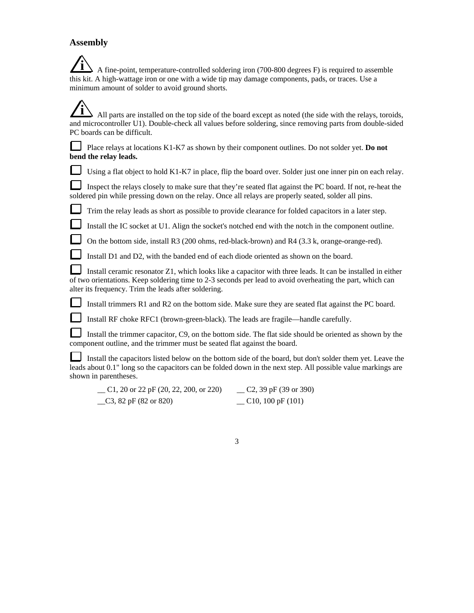### **Assembly**

**i** A fine-point, temperature-controlled soldering iron (700-800 degrees F) is required to assemble this kit. A high-wattage iron or one with a wide tip may damage components, pads, or traces. Use a minimum amount of solder to avoid ground shorts.

**i** All parts are installed on the top side of the board except as noted (the side with the relays, toroids, and microcontroller U1). Double-check all values before soldering, since removing parts from double-sided PC boards can be difficult.

 Place relays at locations K1-K7 as shown by their component outlines. Do not solder yet. **Do not bend the relay leads.** 

Using a flat object to hold K1-K7 in place, flip the board over. Solder just one inner pin on each relay.

 Inspect the relays closely to make sure that they're seated flat against the PC board. If not, re-heat the soldered pin while pressing down on the relay. Once all relays are properly seated, solder all pins.

Trim the relay leads as short as possible to provide clearance for folded capacitors in a later step.

Install the IC socket at U1. Align the socket's notched end with the notch in the component outline.

On the bottom side, install R3 (200 ohms, red-black-brown) and R4 (3.3 k, orange-orange-red).

Install D1 and D2, with the banded end of each diode oriented as shown on the board.

 Install ceramic resonator Z1, which looks like a capacitor with three leads. It can be installed in either of two orientations. Keep soldering time to 2-3 seconds per lead to avoid overheating the part, which can alter its frequency. Trim the leads after soldering.

Install trimmers R1 and R2 on the bottom side. Make sure they are seated flat against the PC board.

Install RF choke RFC1 (brown-green-black). The leads are fragile—handle carefully.

 Install the trimmer capacitor, C9, on the bottom side. The flat side should be oriented as shown by the component outline, and the trimmer must be seated flat against the board.

 Install the capacitors listed below on the bottom side of the board, but don't solder them yet. Leave the leads about 0.1" long so the capacitors can be folded down in the next step. All possible value markings are shown in parentheses.

| C1, 20 or 22 pF $(20, 22, 200, 0r 220)$ | $C2$ , 39 pF (39 or 390) |
|-----------------------------------------|--------------------------|
| $\_\_C3$ , 82 pF (82 or 820)            | $\sim$ C10, 100 pF (101) |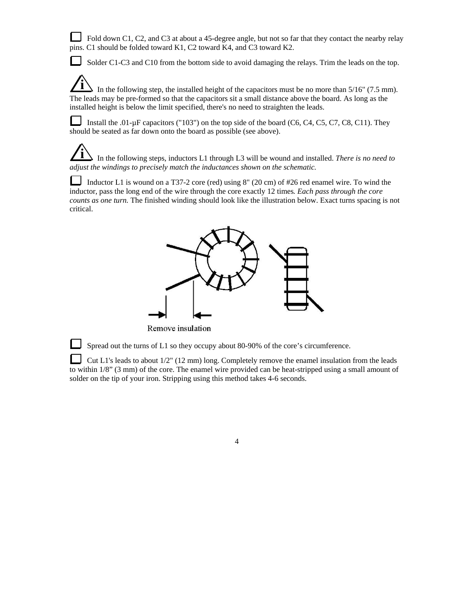Fold down C1, C2, and C3 at about a 45-degree angle, but not so far that they contact the nearby relay pins. C1 should be folded toward K1, C2 toward K4, and C3 toward K2.

Solder C1-C3 and C10 from the bottom side to avoid damaging the relays. Trim the leads on the top.

In the following step, the installed height of the capacitors must be no more than  $5/16$ " (7.5 mm). The leads may be pre-formed so that the capacitors sit a small distance above the board. As long as the installed height is below the limit specified, there's no need to straighten the leads.

Install the .01- $\mu$ F capacitors ("103") on the top side of the board (C6, C4, C5, C7, C8, C11). They should be seated as far down onto the board as possible (see above).

**i** In the following steps, inductors L1 through L3 will be wound and installed. *There is no need to adjust the windings to precisely match the inductances shown on the schematic.* 

Inductor L1 is wound on a T37-2 core (red) using 8" (20 cm) of #26 red enamel wire. To wind the inductor, pass the long end of the wire through the core exactly 12 times*. Each pass through the core counts as one turn.* The finished winding should look like the illustration below. Exact turns spacing is not critical.



Remove insulation

Spread out the turns of L1 so they occupy about 80-90% of the core's circumference.

 Cut L1's leads to about 1/2" (12 mm) long. Completely remove the enamel insulation from the leads to within 1/8" (3 mm) of the core. The enamel wire provided can be heat-stripped using a small amount of solder on the tip of your iron. Stripping using this method takes 4-6 seconds.

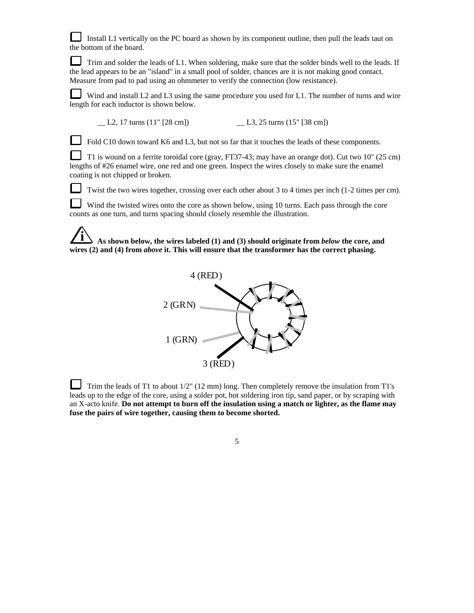Install L1 vertically on the PC board as shown by its component outline, then pull the leads taut on the bottom of the board.

Trim and solder the leads of L1. When soldering, make sure that the solder binds well to the leads. If the lead appears to be an "island" in a small pool of solder, chances are it is not making good contact. Measure from pad to pad using an ohmmeter to verify the connection (low resistance).

Wind and install L2 and L3 using the same procedure you used for L1. The number of turns and wire length for each inductor is shown below.

\_\_ L2, 17 turns (11" [28 cm]) \_\_ L3, 25 turns (15" [38 cm])

Fold C10 down toward K6 and L3, but not so far that it touches the leads of these components.

 T1 is wound on a ferrite toroidal core (gray, FT37-43; may have an orange dot). Cut two 10" (25 cm) lengths of #26 enamel wire, one red and one green. Inspect the wires closely to make sure the enamel coating is not chipped or broken.

Twist the two wires together, crossing over each other about 3 to 4 times per inch (1-2 times per cm).

 Wind the twisted wires onto the core as shown below, using 10 turns. Each pass through the core counts as one turn, and turns spacing should closely resemble the illustration.

**i As shown below, the wires labeled (1) and (3) should originate from** *below* **the core, and wires (2) and (4) from** *above* **it. This will ensure that the transformer has the correct phasing.**



Trim the leads of T1 to about  $1/2$ " (12 mm) long. Then completely remove the insulation from T1's leads up to the edge of the core, using a solder pot, hot soldering iron tip, sand paper, or by scraping with an X-acto knife. **Do not attempt to burn off the insulation using a match or lighter, as the flame may fuse the pairs of wire together, causing them to become shorted.**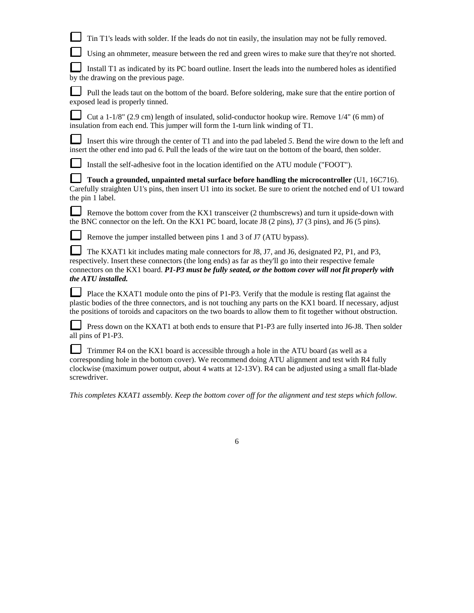| Tin T1's leads with solder. If the leads do not tin easily, the insulation may not be fully removed.                                                                                                                                                                                                                                     |
|------------------------------------------------------------------------------------------------------------------------------------------------------------------------------------------------------------------------------------------------------------------------------------------------------------------------------------------|
| Using an ohmmeter, measure between the red and green wires to make sure that they're not shorted.                                                                                                                                                                                                                                        |
| Install T1 as indicated by its PC board outline. Insert the leads into the numbered holes as identified<br>by the drawing on the previous page.                                                                                                                                                                                          |
| Pull the leads taut on the bottom of the board. Before soldering, make sure that the entire portion of<br>exposed lead is properly tinned.                                                                                                                                                                                               |
| Cut a $1-1/8$ " (2.9 cm) length of insulated, solid-conductor hookup wire. Remove $1/4$ " (6 mm) of<br>insulation from each end. This jumper will form the 1-turn link winding of T1.                                                                                                                                                    |
| Insert this wire through the center of T1 and into the pad labeled 5. Bend the wire down to the left and<br>insert the other end into pad 6. Pull the leads of the wire taut on the bottom of the board, then solder.                                                                                                                    |
| Install the self-adhesive foot in the location identified on the ATU module ("FOOT").                                                                                                                                                                                                                                                    |
| Touch a grounded, unpainted metal surface before handling the microcontroller (U1, 16C716).<br>Carefully straighten U1's pins, then insert U1 into its socket. Be sure to orient the notched end of U1 toward<br>the pin 1 label.                                                                                                        |
| Remove the bottom cover from the KX1 transceiver (2 thumbscrews) and turn it upside-down with<br>the BNC connector on the left. On the KX1 PC board, locate J8 (2 pins), J7 (3 pins), and J6 (5 pins).                                                                                                                                   |
| Remove the jumper installed between pins 1 and 3 of J7 (ATU bypass).                                                                                                                                                                                                                                                                     |
| The KXAT1 kit includes mating male connectors for J8, J7, and J6, designated P2, P1, and P3,<br>respectively. Insert these connectors (the long ends) as far as they'll go into their respective female<br>connectors on the KX1 board. P1-P3 must be fully seated, or the bottom cover will not fit properly with<br>the ATU installed. |
| Place the KXAT1 module onto the pins of P1-P3. Verify that the module is resting flat against the<br>plastic bodies of the three connectors, and is not touching any parts on the KX1 board. If necessary, adjust<br>the positions of toroids and capacitors on the two boards to allow them to fit together without obstruction.        |
| Press down on the KXAT1 at both ends to ensure that P1-P3 are fully inserted into J6-J8. Then solder<br>all pins of P1-P3.                                                                                                                                                                                                               |
| Trimmer R4 on the KX1 board is accessible through a hole in the ATU board (as well as a<br>corresponding hole in the bottom cover). We recommend doing ATU alignment and test with R4 fully<br>clockwise (maximum power output, about 4 watts at 12-13V). R4 can be adjusted using a small flat-blade<br>screwdriver.                    |

*This completes KXAT1 assembly. Keep the bottom cover off for the alignment and test steps which follow.*

 $\overline{6}$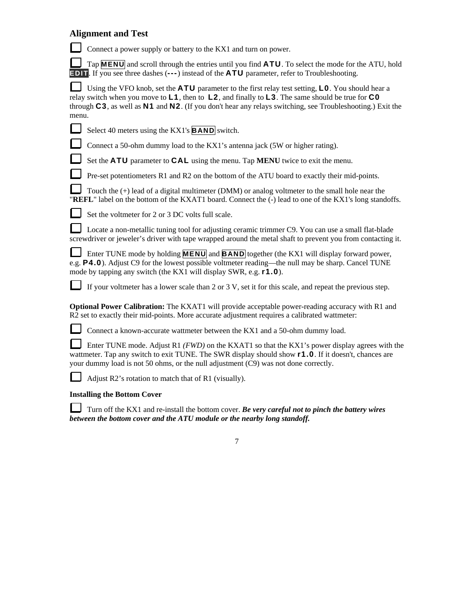## **Alignment and Test**

Connect a power supply or battery to the KX1 and turn on power.

 Tap **MENU** and scroll through the entries until you find **ATU**. To select the mode for the ATU, hold **EDIT**. If you see three dashes (---) instead of the **ATU** parameter, refer to Troubleshooting.

 Using the VFO knob, set the **ATU** parameter to the first relay test setting, **L0**. You should hear a relay switch when you move to **L1**, then to **L2**, and finally to **L3**. The same should be true for **C0** through **C3**, as well as **N1** and **N2**. (If you don't hear any relays switching, see Troubleshooting.) Exit the menu.

|  | Select 40 meters using the KX1's $\overline{BAND}$ switch. |
|--|------------------------------------------------------------|
|--|------------------------------------------------------------|

Connect a 50-ohm dummy load to the KX1's antenna jack (5W or higher rating).

Set the **ATU** parameter to **CAL** using the menu. Tap **MENU** twice to exit the menu.

Pre-set potentiometers R1 and R2 on the bottom of the ATU board to exactly their mid-points.

 Touch the (+) lead of a digital multimeter (DMM) or analog voltmeter to the small hole near the "**REFL**" label on the bottom of the KXAT1 board. Connect the (-) lead to one of the KX1's long standoffs.



ப

Set the voltmeter for 2 or 3 DC volts full scale.

Locate a non-metallic tuning tool for adjusting ceramic trimmer C9. You can use a small flat-blade screwdriver or jeweler's driver with tape wrapped around the metal shaft to prevent you from contacting it.

Enter TUNE mode by holding **MENU** and **BAND** together (the KX1 will display forward power, e.g. **P4.0**). Adjust C9 for the lowest possible voltmeter reading—the null may be sharp. Cancel TUNE mode by tapping any switch (the KX1 will display SWR, e.g. **r1.0**).

If your voltmeter has a lower scale than 2 or 3 V, set it for this scale, and repeat the previous step.

**Optional Power Calibration:** The KXAT1 will provide acceptable power-reading accuracy with R1 and R2 set to exactly their mid-points. More accurate adjustment requires a calibrated wattmeter:

Connect a known-accurate wattmeter between the KX1 and a 50-ohm dummy load.

 Enter TUNE mode. Adjust R1 *(FWD)* on the KXAT1 so that the KX1's power display agrees with the wattmeter. Tap any switch to exit TUNE. The SWR display should show **r1.0**. If it doesn't, chances are your dummy load is not 50 ohms, or the null adjustment (C9) was not done correctly.

Adjust R2's rotation to match that of R1 (visually).

## **Installing the Bottom Cover**

 Turn off the KX1 and re-install the bottom cover. *Be very careful not to pinch the battery wires between the bottom cover and the ATU module or the nearby long standoff.*

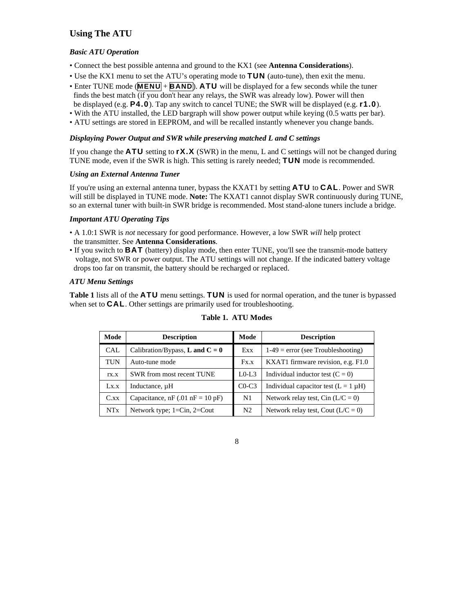## **Using The ATU**

#### *Basic ATU Operation*

- Connect the best possible antenna and ground to the KX1 (see **Antenna Considerations**).
- Use the KX1 menu to set the ATU's operating mode to **TUN** (auto-tune), then exit the menu.
- Enter TUNE mode (**MENU** + **BAND**). **ATU** will be displayed for a few seconds while the tuner
- finds the best match (if you don't hear any relays, the SWR was already low). Power will then be displayed (e.g. **P4.0**). Tap any switch to cancel TUNE; the SWR will be displayed (e.g. **r1.0**).
- With the ATU installed, the LED bargraph will show power output while keying (0.5 watts per bar).
- ATU settings are stored in EEPROM, and will be recalled instantly whenever you change bands.

#### *Displaying Power Output and SWR while preserving matched L and C settings*

If you change the **ATU** setting to **rX.X** (SWR) in the menu, L and C settings will not be changed during TUNE mode, even if the SWR is high. This setting is rarely needed; **TUN** mode is recommended.

#### *Using an External Antenna Tuner*

If you're using an external antenna tuner, bypass the KXAT1 by setting **ATU** to **CAL**. Power and SWR will still be displayed in TUNE mode. **Note:** The KXAT1 cannot display SWR continuously during TUNE, so an external tuner with built-in SWR bridge is recommended. Most stand-alone tuners include a bridge.

#### *Important ATU Operating Tips*

- A 1.0:1 SWR is *not* necessary for good performance. However, a low SWR *will* help protect the transmitter. See **Antenna Considerations**.
- If you switch to **BAT** (battery) display mode, then enter TUNE, you'll see the transmit-mode battery voltage, not SWR or power output. The ATU settings will not change. If the indicated battery voltage drops too far on transmit, the battery should be recharged or replaced.

#### *ATU Menu Settings*

**Table 1** lists all of the **ATU** menu settings. **TUN** is used for normal operation, and the tuner is bypassed when set to **CAL**. Other settings are primarily used for troubleshooting.

| Mode                  | <b>Description</b>                                 |                | <b>Description</b>                        |
|-----------------------|----------------------------------------------------|----------------|-------------------------------------------|
| <b>CAL</b>            | Calibration/Bypass, <b>L</b> and $C = 0$           | Exx            | $1-49$ = error (see Troubleshooting)      |
| <b>TUN</b>            | Auto-tune mode                                     | Fx.x           | KXAT1 firmware revision, e.g. F1.0        |
| TX.X                  | SWR from most recent TUNE                          |                | Individual inductor test $(C = 0)$        |
| Lx.x                  | Inductance, $\mu$ H                                | $C0-C3$        | Individual capacitor test $(L = 1 \mu H)$ |
| $C$ .xx               | Capacitance, nF $(.01 \text{ nF} = 10 \text{ pF})$ |                | Network relay test, Cin $(L/C = 0)$       |
| <b>NT<sub>x</sub></b> | Network type; $1=Cin$ , $2=Cout$                   | N <sub>2</sub> | Network relay test, Cout $(L/C = 0)$      |

#### **Table 1. ATU Modes**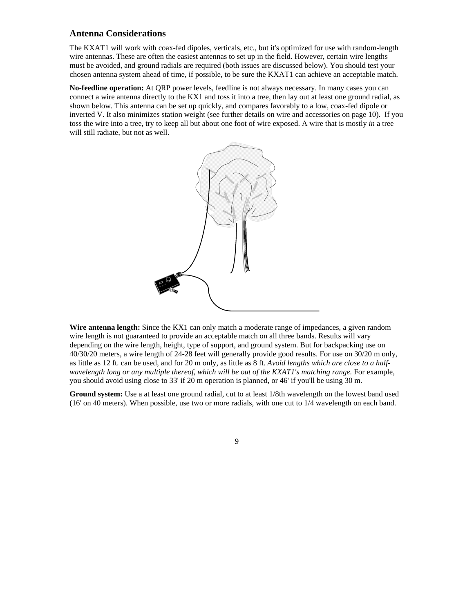### **Antenna Considerations**

The KXAT1 will work with coax-fed dipoles, verticals, etc., but it's optimized for use with random-length wire antennas. These are often the easiest antennas to set up in the field. However, certain wire lengths must be avoided, and ground radials are required (both issues are discussed below). You should test your chosen antenna system ahead of time, if possible, to be sure the KXAT1 can achieve an acceptable match.

**No-feedline operation:** At QRP power levels, feedline is not always necessary. In many cases you can connect a wire antenna directly to the KX1 and toss it into a tree, then lay out at least one ground radial, as shown below. This antenna can be set up quickly, and compares favorably to a low, coax-fed dipole or inverted V. It also minimizes station weight (see further details on wire and accessories on page 10). If you toss the wire into a tree, try to keep all but about one foot of wire exposed. A wire that is mostly *in* a tree will still radiate, but not as well.



Wire antenna length: Since the KX1 can only match a moderate range of impedances, a given random wire length is not guaranteed to provide an acceptable match on all three bands. Results will vary depending on the wire length, height, type of support, and ground system. But for backpacking use on 40/30/20 meters, a wire length of 24-28 feet will generally provide good results. For use on 30/20 m only, as little as 12 ft. can be used, and for 20 m only, as little as 8 ft. *Avoid lengths which are close to a half*wavelength long or any multiple thereof, which will be out of the *KXAT1's matching range*. For example, you should avoid using close to 33' if 20 m operation is planned, or 46' if you'll be using 30 m.

**Ground system:** Use a at least one ground radial, cut to at least 1/8th wavelength on the lowest band used (16' on 40 meters). When possible, use two or more radials, with one cut to 1/4 wavelength on each band.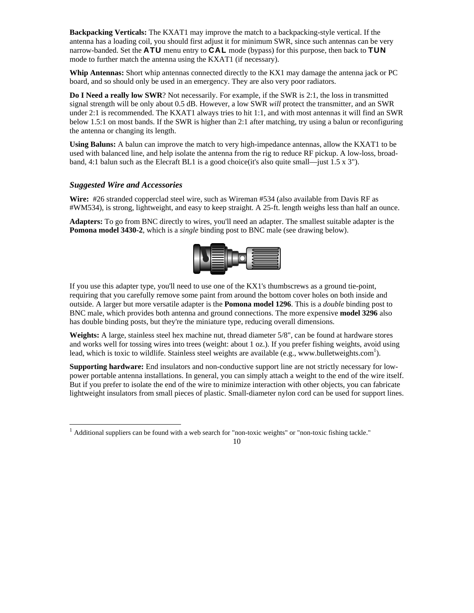**Backpacking Verticals:** The KXAT1 may improve the match to a backpacking-style vertical. If the antenna has a loading coil, you should first adjust it for minimum SWR, since such antennas can be very narrow-banded. Set the **ATU** menu entry to **CAL** mode (bypass) for this purpose, then back to **TUN** mode to further match the antenna using the KXAT1 (if necessary).

**Whip Antennas:** Short whip antennas connected directly to the KX1 may damage the antenna jack or PC board, and so should only be used in an emergency. They are also very poor radiators.

**Do I Need a really low SWR**? Not necessarily. For example, if the SWR is 2:1, the loss in transmitted signal strength will be only about 0.5 dB. However, a low SWR *will* protect the transmitter, and an SWR under 2:1 is recommended. The KXAT1 always tries to hit 1:1, and with most antennas it will find an SWR below 1.5:1 on most bands. If the SWR is higher than 2:1 after matching, try using a balun or reconfiguring the antenna or changing its length.

**Using Baluns:** A balun can improve the match to very high-impedance antennas, allow the KXAT1 to be used with balanced line, and help isolate the antenna from the rig to reduce RF pickup. A low-loss, broadband, 4:1 balun such as the Elecraft BL1 is a good choice (it's also quite small—just 1.5 x 3").

#### *Suggested Wire and Accessories*

 $\overline{a}$ 

**Wire:** #26 stranded copperclad steel wire, such as Wireman #534 (also available from Davis RF as #WM534), is strong, lightweight, and easy to keep straight. A 25-ft. length weighs less than half an ounce.

**Adapters:** To go from BNC directly to wires, you'll need an adapter. The smallest suitable adapter is the **Pomona model 3430-2**, which is a *single* binding post to BNC male (see drawing below).



If you use this adapter type, you'll need to use one of the KX1's thumbscrews as a ground tie-point, requiring that you carefully remove some paint from around the bottom cover holes on both inside and outside. A larger but more versatile adapter is the **Pomona model 1296**. This is a *double* binding post to BNC male, which provides both antenna and ground connections. The more expensive **model 3296** also has double binding posts, but they're the miniature type, reducing overall dimensions.

**Weights:** A large, stainless steel hex machine nut, thread diameter 5/8", can be found at hardware stores and works well for tossing wires into trees (weight: about 1 oz.). If you prefer fishing weights, avoid using lead, which is toxic to wildlife. Stainless steel weights are available (e.g., www.bulletweights.com<sup>1</sup>).

**Supporting hardware:** End insulators and non-conductive support line are not strictly necessary for lowpower portable antenna installations. In general, you can simply attach a weight to the end of the wire itself. But if you prefer to isolate the end of the wire to minimize interaction with other objects, you can fabricate lightweight insulators from small pieces of plastic. Small-diameter nylon cord can be used for support lines.

 $<sup>1</sup>$  Additional suppliers can be found with a web search for "non-toxic weights" or "non-toxic fishing tackle."</sup>

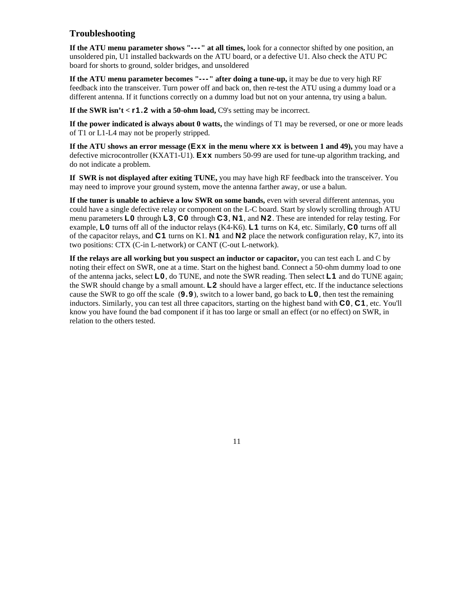## **Troubleshooting**

**If the ATU menu parameter shows "---" at all times,** look for a connector shifted by one position, an unsoldered pin, U1 installed backwards on the ATU board, or a defective U1. Also check the ATU PC board for shorts to ground, solder bridges, and unsoldered

**If the ATU menu parameter becomes "---" after doing a tune-up,** it may be due to very high RF feedback into the transceiver. Turn power off and back on, then re-test the ATU using a dummy load or a different antenna. If it functions correctly on a dummy load but not on your antenna, try using a balun.

**If the SWR isn't**  $\lt$  **<b>r1.2** with a 50-ohm load, C9's setting may be incorrect.

**If the power indicated is always about 0 watts,** the windings of T1 may be reversed, or one or more leads of T1 or L1-L4 may not be properly stripped.

**If the ATU shows an error message (Exx in the menu where xx is between 1 and 49),** you may have a defective microcontroller (KXAT1-U1). **Exx** numbers 50-99 are used for tune-up algorithm tracking, and do not indicate a problem.

**If SWR is not displayed after exiting TUNE,** you may have high RF feedback into the transceiver. You may need to improve your ground system, move the antenna farther away, or use a balun.

**If the tuner is unable to achieve a low SWR on some bands,** even with several different antennas, you could have a single defective relay or component on the L-C board. Start by slowly scrolling through ATU menu parameters **L0** through **L3**, **C0** through **C3**, **N1**, and **N2**. These are intended for relay testing. For example, **L0** turns off all of the inductor relays (K4-K6). **L1** turns on K4, etc. Similarly, **C0** turns off all of the capacitor relays, and **C1** turns on K1. **N1** and **N2** place the network configuration relay, K7, into its two positions: CTX (C-in L-network) or CANT (C-out L-network).

**If the relays are all working but you suspect an inductor or capacitor,** you can test each L and C by noting their effect on SWR, one at a time. Start on the highest band. Connect a 50-ohm dummy load to one of the antenna jacks, select **L0**, do TUNE, and note the SWR reading. Then select **L1** and do TUNE again; the SWR should change by a small amount. **L2** should have a larger effect, etc. If the inductance selections cause the SWR to go off the scale (**9.9**), switch to a lower band, go back to **L0**, then test the remaining inductors. Similarly, you can test all three capacitors, starting on the highest band with **C0**, **C1**, etc. You'll know you have found the bad component if it has too large or small an effect (or no effect) on SWR, in relation to the others tested.